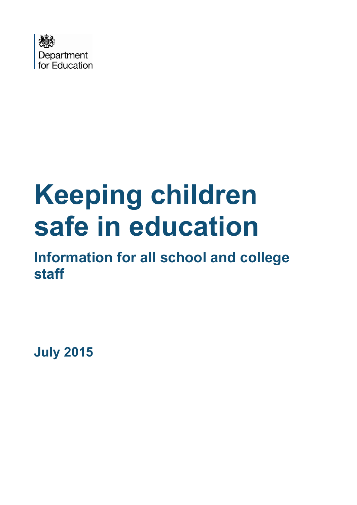

# **Keeping children safe in education**

**Information for all school and college staff**

<span id="page-0-0"></span>**July 2015**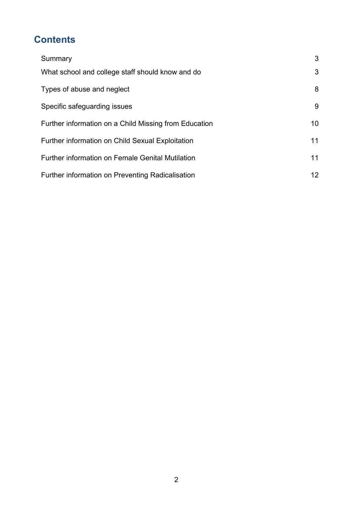# **Contents**

| Summary                                               | 3                 |
|-------------------------------------------------------|-------------------|
| What school and college staff should know and do      | 3                 |
| Types of abuse and neglect                            | 8                 |
| Specific safeguarding issues                          | 9                 |
| Further information on a Child Missing from Education | 10 <sup>°</sup>   |
| Further information on Child Sexual Exploitation      | 11                |
| Further information on Female Genital Mutilation      | 11                |
| Further information on Preventing Radicalisation      | $12 \overline{ }$ |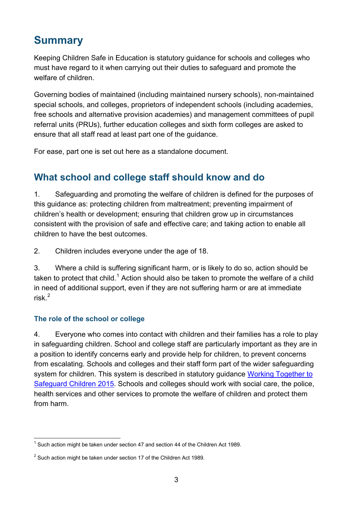# <span id="page-2-0"></span>**Summary**

Keeping Children Safe in Education is statutory guidance for schools and colleges who must have regard to it when carrying out their duties to safeguard and promote the welfare of children.

Governing bodies of maintained (including maintained nursery schools), non-maintained special schools, and colleges, proprietors of independent schools (including academies, free schools and alternative provision academies) and management committees of pupil referral units (PRUs), further education colleges and sixth form colleges are asked to ensure that all staff read at least part one of the guidance.

For ease, part one is set out here as a standalone document.

## <span id="page-2-1"></span>**What school and college staff should know and do**

1. Safeguarding and promoting the welfare of children is defined for the purposes of this guidance as: protecting children from maltreatment; preventing impairment of children's health or development; ensuring that children grow up in circumstances consistent with the provision of safe and effective care; and taking action to enable all children to have the best outcomes.

2. Children includes everyone under the age of 18.

3. Where a child is suffering significant harm, or is likely to do so, action should be taken to protect that child.<sup>[1](#page-0-0)</sup> Action should also be taken to promote the welfare of a child in need of additional support, even if they are not suffering harm or are at immediate risk $^2$  $^2$ 

## **The role of the school or college**

4. Everyone who comes into contact with children and their families has a role to play in safeguarding children. School and college staff are particularly important as they are in a position to identify concerns early and provide help for children, to prevent concerns from escalating. Schools and colleges and their staff form part of the wider safeguarding system for children. This system is described in statutory guidance Working Together to [Safeguard Children 2015.](https://www.gov.uk/government/publications/working-together-to-safeguard-children--2) Schools and colleges should work with social care, the police, health services and other services to promote the welfare of children and protect them from harm.

 $1$  Such action might be taken under section 47 and section 44 of the Children Act 1989.

<span id="page-2-3"></span><span id="page-2-2"></span> $2$  Such action might be taken under section 17 of the Children Act 1989.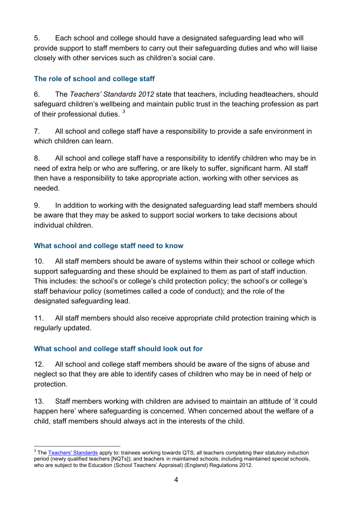5. Each school and college should have a designated safeguarding lead who will provide support to staff members to carry out their safeguarding duties and who will liaise closely with other services such as children's social care.

## **The role of school and college staff**

6. The *Teachers' Standards 2012* state that teachers, including headteachers, should safeguard children's wellbeing and maintain public trust in the teaching profession as part of their professional duties. *[3](#page-2-3)*

7. All school and college staff have a responsibility to provide a safe environment in which children can learn.

8. All school and college staff have a responsibility to identify children who may be in need of extra help or who are suffering, or are likely to suffer, significant harm. All staff then have a responsibility to take appropriate action, working with other services as needed.

9. In addition to working with the designated safeguarding lead staff members should be aware that they may be asked to support social workers to take decisions about individual children.

## **What school and college staff need to know**

10. All staff members should be aware of systems within their school or college which support safeguarding and these should be explained to them as part of staff induction. This includes: the school's or college's child protection policy; the school's or college's staff behaviour policy (sometimes called a code of conduct); and the role of the designated safeguarding lead.

11. All staff members should also receive appropriate child protection training which is regularly updated.

## **What school and college staff should look out for**

12. All school and college staff members should be aware of the signs of abuse and neglect so that they are able to identify cases of children who may be in need of help or protection.

13. Staff members working with children are advised to maintain an attitude of 'it could happen here' where safeguarding is concerned. When concerned about the welfare of a child, staff members should always act in the interests of the child.

<span id="page-3-0"></span><sup>&</sup>lt;sup>3</sup> The [Teachers' Standards](https://www.gov.uk/government/publications/teachers-standards) apply to: trainees working towards QTS; all teachers completing their statutory induction period (newly qualified teachers [NQTs]); and teachers in maintained schools, including maintained special schools, who are subject to the Education (School Teachers' Appraisal) (England) Regulations 2012.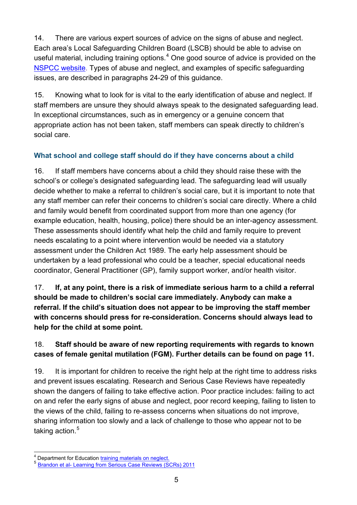14. There are various expert sources of advice on the signs of abuse and neglect. Each area's Local Safeguarding Children Board (LSCB) should be able to advise on useful material, including training options.<sup>[4](#page-3-0)</sup> One good source of advice is provided on the [NSPCC website.](http://www.nspcc.org.uk/) Types of abuse and neglect, and examples of specific safeguarding issues, are described in paragraphs 24-29 of this guidance.

15. Knowing what to look for is vital to the early identification of abuse and neglect. If staff members are unsure they should always speak to the designated safeguarding lead. In exceptional circumstances, such as in emergency or a genuine concern that appropriate action has not been taken, staff members can speak directly to children's social care.

## **What school and college staff should do if they have concerns about a child**

16. If staff members have concerns about a child they should raise these with the school's or college's designated safeguarding lead. The safeguarding lead will usually decide whether to make a referral to children's social care, but it is important to note that any staff member can refer their concerns to children's social care directly. Where a child and family would benefit from coordinated support from more than one agency (for example education, health, housing, police) there should be an inter-agency assessment. These assessments should identify what help the child and family require to prevent needs escalating to a point where intervention would be needed via a statutory assessment under the Children Act 1989. The early help assessment should be undertaken by a lead professional who could be a teacher, special educational needs coordinator, General Practitioner (GP), family support worker, and/or health visitor.

17. **If, at any point, there is a risk of immediate serious harm to a child a referral should be made to children's social care immediately. Anybody can make a referral. If the child's situation does not appear to be improving the staff member with concerns should press for re-consideration. Concerns should always lead to help for the child at some point.**

## 18. **Staff should be aware of new reporting requirements with regards to known cases of female genital mutilation (FGM). Further details can be found on page 11.**

19. It is important for children to receive the right help at the right time to address risks and prevent issues escalating. Research and Serious Case Reviews have repeatedly shown the dangers of failing to take effective action. Poor practice includes: failing to act on and refer the early signs of abuse and neglect, poor record keeping, failing to listen to the views of the child, failing to re-assess concerns when situations do not improve, sharing information too slowly and a lack of challenge to those who appear not to be taking action.<sup>[5](#page-4-0)</sup>

<span id="page-4-1"></span><span id="page-4-0"></span><sup>&</sup>lt;sup>4</sup> Department for Education [training materials on neglect.](https://www.gov.uk/government/collections/childhood-neglect-training-resources)<br><sup>5</sup> Brandon et al- Learning from [Serious Case Reviews \(SCRs\) 2011](https://www.gov.uk/search?q=learning+from+serious+case+reviews&tab=government-results)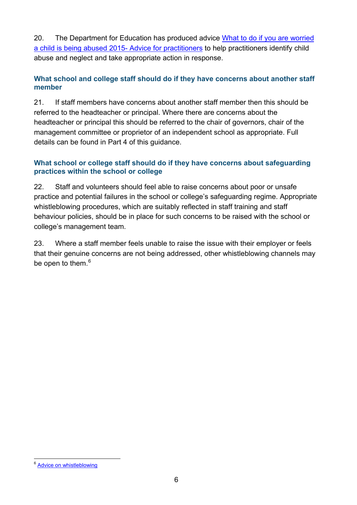20. The Department for Education has produced advice What to do if you are worried [a child is being abused 2015-](https://www.gov.uk/government/publications/what-to-do-if-youre-worried-a-child-is-being-abused--2) Advice for practitioners to help practitioners identify child abuse and neglect and take appropriate action in response.

#### **What school and college staff should do if they have concerns about another staff member**

21. If staff members have concerns about another staff member then this should be referred to the headteacher or principal. Where there are concerns about the headteacher or principal this should be referred to the chair of governors, chair of the management committee or proprietor of an independent school as appropriate. Full details can be found in Part 4 of this guidance.

#### **What school or college staff should do if they have concerns about safeguarding practices within the school or college**

22. Staff and volunteers should feel able to raise concerns about poor or unsafe practice and potential failures in the school or college's safeguarding regime. Appropriate whistleblowing procedures, which are suitably reflected in staff training and staff behaviour policies, should be in place for such concerns to be raised with the school or college's management team.

23. Where a staff member feels unable to raise the issue with their employer or feels that their genuine concerns are not being addressed, other whistleblowing channels may be open to them.<sup>[6](#page-4-1)</sup>

<span id="page-5-0"></span> <sup>6</sup> [Advice on whistleblowing](https://www.gov.uk/whistleblowing)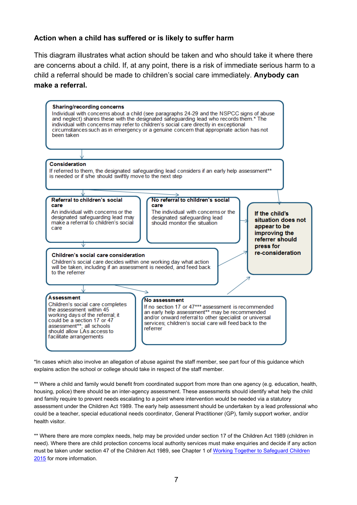#### **Action when a child has suffered or is likely to suffer harm**

This diagram illustrates what action should be taken and who should take it where there are concerns about a child. If, at any point, there is a risk of immediate serious harm to a child a referral should be made to children's social care immediately. **Anybody can make a referral.**



\*In cases which also involve an allegation of abuse against the staff member, see part four of this guidance which explains action the school or college should take in respect of the staff member.

\*\* Where a child and family would benefit from coordinated support from more than one agency (e.g. education, health, housing, police) there should be an inter-agency assessment. These assessments should identify what help the child and family require to prevent needs escalating to a point where intervention would be needed via a statutory assessment under the Children Act 1989. The early help assessment should be undertaken by a lead professional who could be a teacher, special educational needs coordinator, General Practitioner (GP), family support worker, and/or health visitor.

\*\* Where there are more complex needs, help may be provided under section 17 of the Children Act 1989 (children in need). Where there are child protection concerns local authority services must make enquiries and decide if any action must be taken under section 47 of the Children Act 1989, see Chapter 1 of Working Together to Safeguard Children [2015](https://www.gov.uk/government/publications/working-together-to-safeguard-children--2) for more information.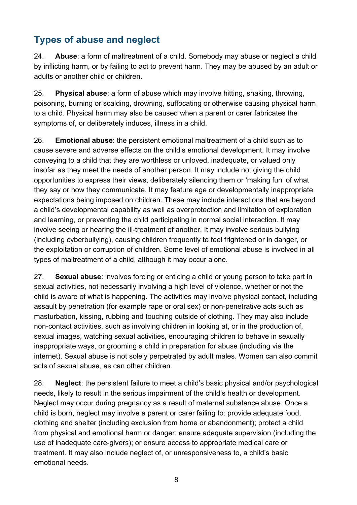# <span id="page-7-0"></span>**Types of abuse and neglect**

24. **Abuse**: a form of maltreatment of a child. Somebody may abuse or neglect a child by inflicting harm, or by failing to act to prevent harm. They may be abused by an adult or adults or another child or children.

25. **Physical abuse**: a form of abuse which may involve hitting, shaking, throwing, poisoning, burning or scalding, drowning, suffocating or otherwise causing physical harm to a child. Physical harm may also be caused when a parent or carer fabricates the symptoms of, or deliberately induces, illness in a child.

26. **Emotional abuse**: the persistent emotional maltreatment of a child such as to cause severe and adverse effects on the child's emotional development. It may involve conveying to a child that they are worthless or unloved, inadequate, or valued only insofar as they meet the needs of another person. It may include not giving the child opportunities to express their views, deliberately silencing them or 'making fun' of what they say or how they communicate. It may feature age or developmentally inappropriate expectations being imposed on children. These may include interactions that are beyond a child's developmental capability as well as overprotection and limitation of exploration and learning, or preventing the child participating in normal social interaction. It may involve seeing or hearing the ill-treatment of another. It may involve serious bullying (including cyberbullying), causing children frequently to feel frightened or in danger, or the exploitation or corruption of children. Some level of emotional abuse is involved in all types of maltreatment of a child, although it may occur alone.

27. **Sexual abuse**: involves forcing or enticing a child or young person to take part in sexual activities, not necessarily involving a high level of violence, whether or not the child is aware of what is happening. The activities may involve physical contact, including assault by penetration (for example rape or oral sex) or non-penetrative acts such as masturbation, kissing, rubbing and touching outside of clothing. They may also include non-contact activities, such as involving children in looking at, or in the production of, sexual images, watching sexual activities, encouraging children to behave in sexually inappropriate ways, or grooming a child in preparation for abuse (including via the internet). Sexual abuse is not solely perpetrated by adult males. Women can also commit acts of sexual abuse, as can other children.

28. **Neglect**: the persistent failure to meet a child's basic physical and/or psychological needs, likely to result in the serious impairment of the child's health or development. Neglect may occur during pregnancy as a result of maternal substance abuse. Once a child is born, neglect may involve a parent or carer failing to: provide adequate food, clothing and shelter (including exclusion from home or abandonment); protect a child from physical and emotional harm or danger; ensure adequate supervision (including the use of inadequate care-givers); or ensure access to appropriate medical care or treatment. It may also include neglect of, or unresponsiveness to, a child's basic emotional needs.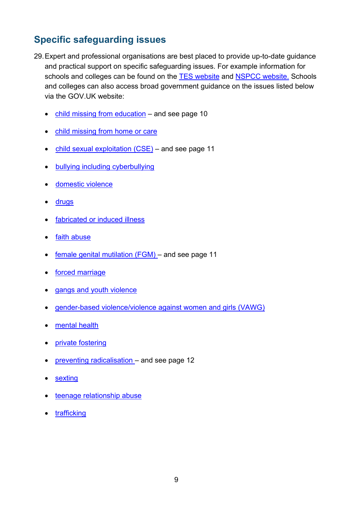## <span id="page-8-0"></span>**Specific safeguarding issues**

- 29.Expert and professional organisations are best placed to provide up-to-date guidance and practical support on specific safeguarding issues. For example information for schools and colleges can be found on the [TES website](http://www.tes.co.uk/) and [NSPCC website.](http://www.nspcc.org.uk/) Schools and colleges can also access broad government guidance on the issues listed below via the GOV.UK website:
	- [child missing from education](https://www.gov.uk/government/publications/school-attendance) and see page 10
	- [child missing from home or care](https://www.gov.uk/government/publications/children-who-run-away-or-go-missing-from-home-or-care)
	- [child sexual exploitation \(CSE\)](https://www.gov.uk/government/publications/what-to-do-if-you-suspect-a-child-is-being-sexually-exploited) and see page 11
	- [bullying including cyberbullying](https://www.gov.uk/government/publications/preventing-and-tackling-bullying)
	- [domestic violence](https://www.gov.uk/domestic-violence-and-abuse)
	- [drugs](https://www.gov.uk/government/publications/drugs-advice-for-schools)
	- [fabricated or induced illness](https://www.gov.uk/government/publications/safeguarding-children-in-whom-illness-is-fabricated-or-induced)
	- [faith abuse](https://www.gov.uk/government/publications/national-action-plan-to-tackle-child-abuse-linked-to-faith-or-belief)
	- [female genital mutilation \(FGM\)](https://www.gov.uk/government/publications/female-genital-mutilation-guidelines) and see page 11
	- [forced marriage](https://www.gov.uk/forced-marriage)
	- [gangs and youth violence](https://www.gov.uk/government/uploads/system/uploads/attachment_data/file/226293/Advice_to_Schools_and_Colleges_on_Gangs.pdf)
	- [gender-based violence/violence against women and girls \(VAWG\)](https://www.gov.uk/government/policies/ending-violence-against-women-and-girls-in-the-uk)
	- [mental health](https://www.gov.uk/government/publications/the-mental-health-strategy-for-england)
	- [private fostering](https://www.gov.uk/government/publications/children-act-1989-private-fostering)
	- [preventing radicalisation](https://www.gov.uk/government/publications/channel-guidance) and see page 12
	- **[sexting](https://www.ceop.police.uk/Media-Centre/Press-releases/2009/What-does-sexting-mean/)**
	- [teenage relationship abuse](https://www.gov.uk/government/collections/this-is-abuse-campaign)
	- **[trafficking](https://www.gov.uk/government/publications/safeguarding-children-who-may-have-been-trafficked-practice-guidance)**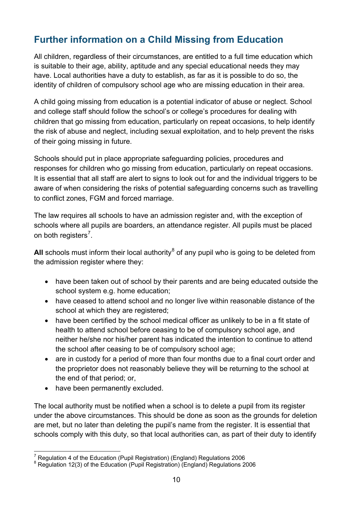## <span id="page-9-0"></span>**Further information on a Child Missing from Education**

All children, regardless of their circumstances, are entitled to a full time education which is suitable to their age, ability, aptitude and any special educational needs they may have. Local authorities have a duty to establish, as far as it is possible to do so, the identity of children of compulsory school age who are missing education in their area.

A child going missing from education is a potential indicator of abuse or neglect. School and college staff should follow the school's or college's procedures for dealing with children that go missing from education, particularly on repeat occasions, to help identify the risk of abuse and neglect, including sexual exploitation, and to help prevent the risks of their going missing in future.

Schools should put in place appropriate safeguarding policies, procedures and responses for children who go missing from education, particularly on repeat occasions. It is essential that all staff are alert to signs to look out for and the individual triggers to be aware of when considering the risks of potential safeguarding concerns such as travelling to conflict zones, FGM and forced marriage.

The law requires all schools to have an admission register and, with the exception of schools where all pupils are boarders, an attendance register. All pupils must be placed on both registers<sup>[7](#page-5-0)</sup>.

All schools must inform their local authority<sup>[8](#page-9-1)</sup> of any pupil who is going to be deleted from the admission register where they:

- have been taken out of school by their parents and are being educated outside the school system e.g. home education;
- have ceased to attend school and no longer live within reasonable distance of the school at which they are registered;
- have been certified by the school medical officer as unlikely to be in a fit state of health to attend school before ceasing to be of compulsory school age, and neither he/she nor his/her parent has indicated the intention to continue to attend the school after ceasing to be of compulsory school age;
- are in custody for a period of more than four months due to a final court order and the proprietor does not reasonably believe they will be returning to the school at the end of that period; or,
- have been permanently excluded.

The local authority must be notified when a school is to delete a pupil from its register under the above circumstances. This should be done as soon as the grounds for deletion are met, but no later than deleting the pupil's name from the register. It is essential that schools comply with this duty, so that local authorities can, as part of their duty to identify

 $\frac{7}{4}$  Regulation 4 of the Education (Pupil Registration) (England) Regulations 2006

<span id="page-9-1"></span> $^8$  Regulation 12(3) of the Education (Pupil Registration) (England) Regulations 2006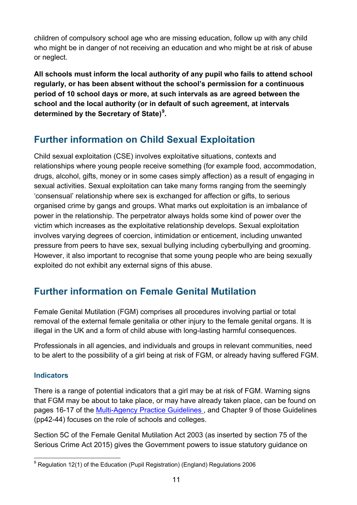children of compulsory school age who are missing education, follow up with any child who might be in danger of not receiving an education and who might be at risk of abuse or neglect.

**All schools must inform the local authority of any pupil who fails to attend school regularly, or has been absent without the school's permission for a continuous period of 10 school days or more, at such intervals as are agreed between the school and the local authority (or in default of such agreement, at intervals determined by the Secretary of State)[9](#page-9-1) .** 

## <span id="page-10-0"></span>**Further information on Child Sexual Exploitation**

Child sexual exploitation (CSE) involves exploitative situations, contexts and relationships where young people receive something (for example food, accommodation, drugs, alcohol, gifts, money or in some cases simply affection) as a result of engaging in sexual activities. Sexual exploitation can take many forms ranging from the seemingly 'consensual' relationship where sex is exchanged for affection or gifts, to serious organised crime by gangs and groups. What marks out exploitation is an imbalance of power in the relationship. The perpetrator always holds some kind of power over the victim which increases as the exploitative relationship develops. Sexual exploitation involves varying degrees of coercion, intimidation or enticement, including unwanted pressure from peers to have sex, sexual bullying including cyberbullying and grooming. However, it also important to recognise that some young people who are being sexually exploited do not exhibit any external signs of this abuse.

## <span id="page-10-1"></span>**Further information on Female Genital Mutilation**

Female Genital Mutilation (FGM) comprises all procedures involving partial or total removal of the external female genitalia or other injury to the female genital organs. It is illegal in the UK and a form of child abuse with long-lasting harmful consequences.

Professionals in all agencies, and individuals and groups in relevant communities, need to be alert to the possibility of a girl being at risk of FGM, or already having suffered FGM.

## **Indicators**

There is a range of potential indicators that a girl may be at risk of FGM. Warning signs that FGM may be about to take place, or may have already taken place, can be found on pages 16-17 of the [Multi-Agency Practice Guidelines](https://www.gov.uk/government/publications/female-genital-mutilation-guidelines) , and Chapter 9 of those Guidelines (pp42-44) focuses on the role of schools and colleges.

<span id="page-10-2"></span>Section 5C of the Female Genital Mutilation Act 2003 (as inserted by section 75 of the Serious Crime Act 2015) gives the Government powers to issue statutory guidance on

 $9$  Regulation 12(1) of the Education (Pupil Registration) (England) Regulations 2006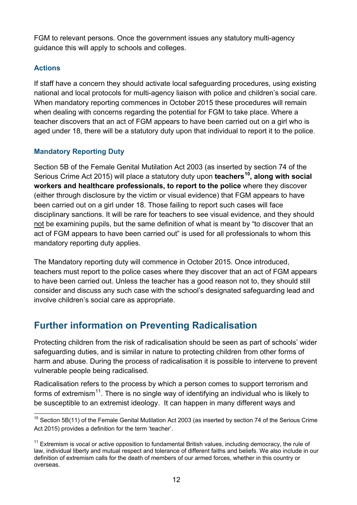FGM to relevant persons. Once the government issues any statutory multi-agency guidance this will apply to schools and colleges.

#### **Actions**

If staff have a concern they should activate local safeguarding procedures, using existing national and local protocols for multi-agency liaison with police and children's social care. When mandatory reporting commences in October 2015 these procedures will remain when dealing with concerns regarding the potential for FGM to take place. Where a teacher discovers that an act of FGM appears to have been carried out on a girl who is aged under 18, there will be a statutory duty upon that individual to report it to the police.

#### **Mandatory Reporting Duty**

Section 5B of the Female Genital Mutilation Act 2003 (as inserted by section 74 of the Serious Crime Act 2015) will place a statutory duty upon **teachers[10](#page-10-2), along with social workers and healthcare professionals, to report to the police** where they discover (either through disclosure by the victim or visual evidence) that FGM appears to have been carried out on a girl under 18. Those failing to report such cases will face disciplinary sanctions. It will be rare for teachers to see visual evidence, and they should not be examining pupils, but the same definition of what is meant by "to discover that an act of FGM appears to have been carried out" is used for all professionals to whom this mandatory reporting duty applies.

The Mandatory reporting duty will commence in October 2015. Once introduced, teachers must report to the police cases where they discover that an act of FGM appears to have been carried out. Unless the teacher has a good reason not to, they should still consider and discuss any such case with the school's designated safeguarding lead and involve children's social care as appropriate.

## <span id="page-11-0"></span>**Further information on Preventing Radicalisation**

Protecting children from the risk of radicalisation should be seen as part of schools' wider safeguarding duties, and is similar in nature to protecting children from other forms of harm and abuse. During the process of radicalisation it is possible to intervene to prevent vulnerable people being radicalised.

Radicalisation refers to the process by which a person comes to support terrorism and forms of extremism<sup>[11](#page-11-1)</sup>. There is no single way of identifying an individual who is likely to be susceptible to an extremist ideology. It can happen in many different ways and

<sup>&</sup>lt;sup>10</sup> Section 5B(11) of the Female Genital Mutilation Act 2003 (as inserted by section 74 of the Serious Crime Act 2015) provides a definition for the term 'teacher'.

<span id="page-11-2"></span><span id="page-11-1"></span> $11$  Extremism is vocal or active opposition to fundamental British values, including democracy, the rule of law, individual liberty and mutual respect and tolerance of different faiths and beliefs. We also include in our definition of extremism calls for the death of members of our armed forces, whether in this country or overseas.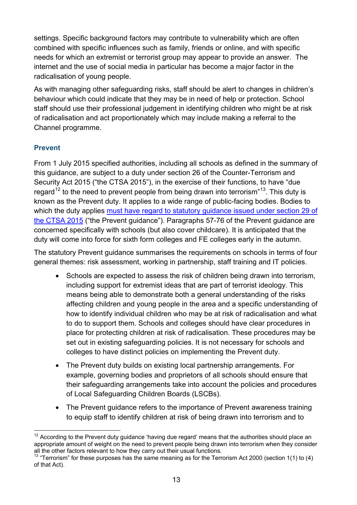settings. Specific background factors may contribute to vulnerability which are often combined with specific influences such as family, friends or online, and with specific needs for which an extremist or terrorist group may appear to provide an answer. The internet and the use of social media in particular has become a major factor in the radicalisation of young people.

As with managing other safeguarding risks, staff should be alert to changes in children's behaviour which could indicate that they may be in need of help or protection. School staff should use their professional judgement in identifying children who might be at risk of radicalisation and act proportionately which may include making a referral to the Channel programme.

## **Prevent**

From 1 July 2015 specified authorities, including all schools as defined in the summary of this guidance, are subject to a duty under section 26 of the Counter-Terrorism and Security Act 2015 ("the CTSA 2015"), in the exercise of their functions, to have "due regard<sup>[12](#page-11-2)</sup> to the need to prevent people from being drawn into terrorism<sup>"13</sup>. This duty is known as the Prevent duty. It applies to a wide range of public-facing bodies. Bodies to which the duty applies [must have regard to statutory guidance issued under section 29 of](https://www.gov.uk/government/publications/prevent-duty-guidance)  [the CTSA 2015](https://www.gov.uk/government/publications/prevent-duty-guidance) ("the Prevent guidance"). Paragraphs 57-76 of the Prevent guidance are concerned specifically with schools (but also cover childcare). It is anticipated that the duty will come into force for sixth form colleges and FE colleges early in the autumn.

The statutory Prevent guidance summarises the requirements on schools in terms of four general themes: risk assessment, working in partnership, staff training and IT policies.

- Schools are expected to assess the risk of children being drawn into terrorism, including support for extremist ideas that are part of terrorist ideology. This means being able to demonstrate both a general understanding of the risks affecting children and young people in the area and a specific understanding of how to identify individual children who may be at risk of radicalisation and what to do to support them. Schools and colleges should have clear procedures in place for protecting children at risk of radicalisation. These procedures may be set out in existing safeguarding policies. It is not necessary for schools and colleges to have distinct policies on implementing the Prevent duty.
- The Prevent duty builds on existing local partnership arrangements. For example, governing bodies and proprietors of all schools should ensure that their safeguarding arrangements take into account the policies and procedures of Local Safeguarding Children Boards (LSCBs).
- The Prevent guidance refers to the importance of Prevent awareness training to equip staff to identify children at risk of being drawn into terrorism and to

<span id="page-12-1"></span> $12$  According to the Prevent duty guidance 'having due regard' means that the authorities should place an appropriate amount of weight on the need to prevent people being drawn into terrorism when they consider all the other factors relevant to how they carry out their usual functions.

<span id="page-12-0"></span> $3$  "Terrorism" for these purposes has the same meaning as for the Terrorism Act 2000 (section 1(1) to (4) of that Act).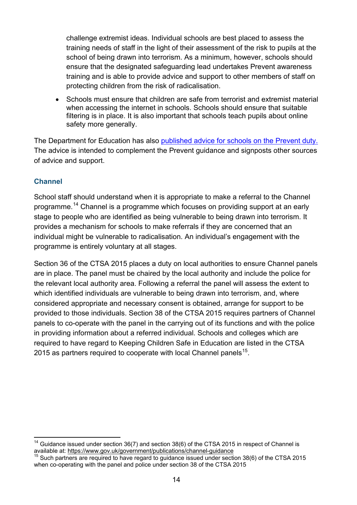challenge extremist ideas. Individual schools are best placed to assess the training needs of staff in the light of their assessment of the risk to pupils at the school of being drawn into terrorism. As a minimum, however, schools should ensure that the designated safeguarding lead undertakes Prevent awareness training and is able to provide advice and support to other members of staff on protecting children from the risk of radicalisation.

• Schools must ensure that children are safe from terrorist and extremist material when accessing the internet in schools. Schools should ensure that suitable filtering is in place. It is also important that schools teach pupils about online safety more generally.

The Department for Education has also [published advice for schools on the Prevent duty.](https://www.gov.uk/government/publications/protecting-children-from-radicalisation-the-prevent-duty)  The advice is intended to complement the Prevent guidance and signposts other sources of advice and support.

## **Channel**

School staff should understand when it is appropriate to make a referral to the Channel programme.[14](#page-12-1) Channel is a programme which focuses on providing support at an early stage to people who are identified as being vulnerable to being drawn into terrorism. It provides a mechanism for schools to make referrals if they are concerned that an individual might be vulnerable to radicalisation. An individual's engagement with the programme is entirely voluntary at all stages.

Section 36 of the CTSA 2015 places a duty on local authorities to ensure Channel panels are in place. The panel must be chaired by the local authority and include the police for the relevant local authority area. Following a referral the panel will assess the extent to which identified individuals are vulnerable to being drawn into terrorism, and, where considered appropriate and necessary consent is obtained, arrange for support to be provided to those individuals. Section 38 of the CTSA 2015 requires partners of Channel panels to co-operate with the panel in the carrying out of its functions and with the police in providing information about a referred individual. Schools and colleges which are required to have regard to Keeping Children Safe in Education are listed in the CTSA 2015 as partners required to cooperate with local Channel panels<sup>15</sup>.

<sup>&</sup>lt;sup>14</sup> Guidance issued under section 36(7) and section 38(6) of the CTSA 2015 in respect of Channel is available at: https://www.gov.uk/government/publications/channel-guidance

<span id="page-13-0"></span>Such partners are required to have regard to guidance issued under section 38(6) of the CTSA 2015 when co-operating with the panel and police under section 38 of the CTSA 2015